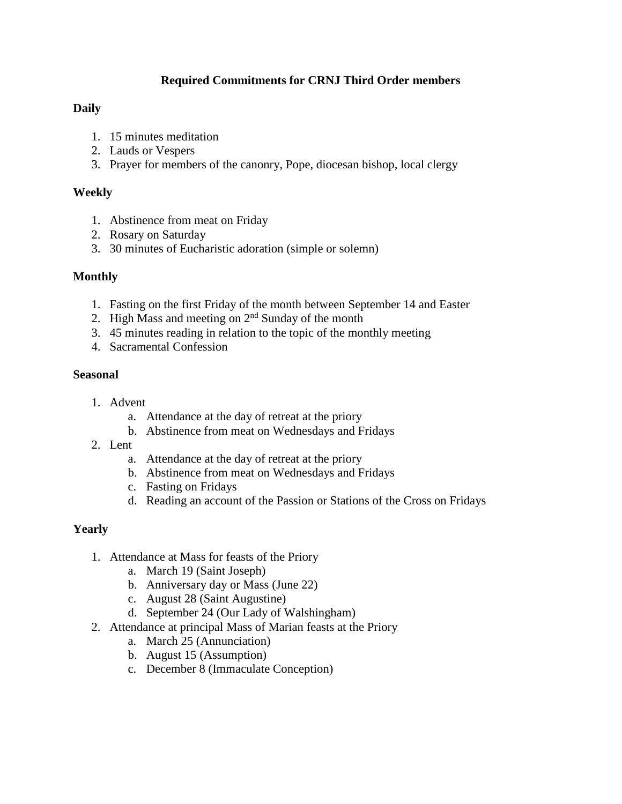## **Required Commitments for CRNJ Third Order members**

### **Daily**

- 1. 15 minutes meditation
- 2. Lauds or Vespers
- 3. Prayer for members of the canonry, Pope, diocesan bishop, local clergy

### **Weekly**

- 1. Abstinence from meat on Friday
- 2. Rosary on Saturday
- 3. 30 minutes of Eucharistic adoration (simple or solemn)

### **Monthly**

- 1. Fasting on the first Friday of the month between September 14 and Easter
- 2. High Mass and meeting on  $2<sup>nd</sup>$  Sunday of the month
- 3. 45 minutes reading in relation to the topic of the monthly meeting
- 4. Sacramental Confession

### **Seasonal**

- 1. Advent
	- a. Attendance at the day of retreat at the priory
	- b. Abstinence from meat on Wednesdays and Fridays
- 2. Lent
	- a. Attendance at the day of retreat at the priory
	- b. Abstinence from meat on Wednesdays and Fridays
	- c. Fasting on Fridays
	- d. Reading an account of the Passion or Stations of the Cross on Fridays

### **Yearly**

- 1. Attendance at Mass for feasts of the Priory
	- a. March 19 (Saint Joseph)
	- b. Anniversary day or Mass (June 22)
	- c. August 28 (Saint Augustine)
	- d. September 24 (Our Lady of Walshingham)
- 2. Attendance at principal Mass of Marian feasts at the Priory
	- a. March 25 (Annunciation)
	- b. August 15 (Assumption)
	- c. December 8 (Immaculate Conception)